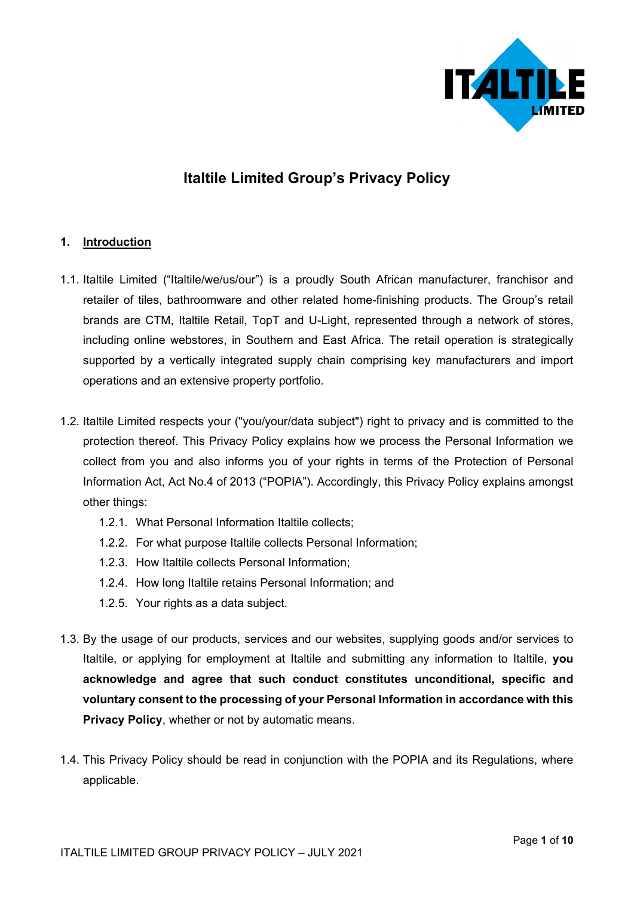

# **Italtile Limited Group's Privacy Policy**

## **1. Introduction**

- 1.1. Italtile Limited ("Italtile/we/us/our") is a proudly South African manufacturer, franchisor and retailer of tiles, bathroomware and other related home-finishing products. The Group's retail brands are CTM, Italtile Retail, TopT and U-Light, represented through a network of stores, including online webstores, in Southern and East Africa. The retail operation is strategically supported by a vertically integrated supply chain comprising key manufacturers and import operations and an extensive property portfolio.
- 1.2. Italtile Limited respects your ("you/your/data subject") right to privacy and is committed to the protection thereof. This Privacy Policy explains how we process the Personal Information we collect from you and also informs you of your rights in terms of the Protection of Personal Information Act, Act No.4 of 2013 ("POPIA"). Accordingly, this Privacy Policy explains amongst other things:
	- 1.2.1. What Personal Information Italtile collects;
	- 1.2.2. For what purpose Italtile collects Personal Information;
	- 1.2.3. How Italtile collects Personal Information;
	- 1.2.4. How long Italtile retains Personal Information; and
	- 1.2.5. Your rights as a data subject.
- 1.3. By the usage of our products, services and our websites, supplying goods and/or services to Italtile, or applying for employment at Italtile and submitting any information to Italtile, **you acknowledge and agree that such conduct constitutes unconditional, specific and voluntary consent to the processing of your Personal Information in accordance with this Privacy Policy**, whether or not by automatic means.
- 1.4. This Privacy Policy should be read in conjunction with the POPIA and its Regulations, where applicable.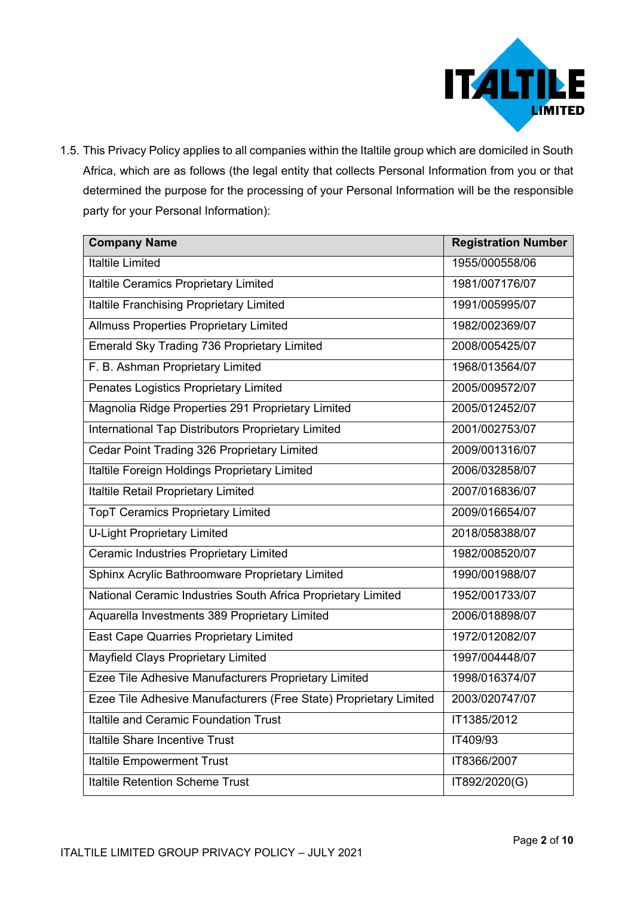

1.5. This Privacy Policy applies to all companies within the Italtile group which are domiciled in South Africa, which are as follows (the legal entity that collects Personal Information from you or that determined the purpose for the processing of your Personal Information will be the responsible party for your Personal Information):

| <b>Company Name</b>                                               | <b>Registration Number</b> |
|-------------------------------------------------------------------|----------------------------|
| <b>Italtile Limited</b>                                           | 1955/000558/06             |
| Italtile Ceramics Proprietary Limited                             | 1981/007176/07             |
| Italtile Franchising Proprietary Limited                          | 1991/005995/07             |
| <b>Allmuss Properties Proprietary Limited</b>                     | 1982/002369/07             |
| Emerald Sky Trading 736 Proprietary Limited                       | 2008/005425/07             |
| F. B. Ashman Proprietary Limited                                  | 1968/013564/07             |
| Penates Logistics Proprietary Limited                             | 2005/009572/07             |
| Magnolia Ridge Properties 291 Proprietary Limited                 | 2005/012452/07             |
| International Tap Distributors Proprietary Limited                | 2001/002753/07             |
| Cedar Point Trading 326 Proprietary Limited                       | 2009/001316/07             |
| Italtile Foreign Holdings Proprietary Limited                     | 2006/032858/07             |
| Italtile Retail Proprietary Limited                               | 2007/016836/07             |
| <b>TopT Ceramics Proprietary Limited</b>                          | 2009/016654/07             |
| <b>U-Light Proprietary Limited</b>                                | 2018/058388/07             |
| Ceramic Industries Proprietary Limited                            | 1982/008520/07             |
| Sphinx Acrylic Bathroomware Proprietary Limited                   | 1990/001988/07             |
| National Ceramic Industries South Africa Proprietary Limited      | 1952/001733/07             |
| Aquarella Investments 389 Proprietary Limited                     | 2006/018898/07             |
| <b>East Cape Quarries Proprietary Limited</b>                     | 1972/012082/07             |
| Mayfield Clays Proprietary Limited                                | 1997/004448/07             |
| Ezee Tile Adhesive Manufacturers Proprietary Limited              | 1998/016374/07             |
| Ezee Tile Adhesive Manufacturers (Free State) Proprietary Limited | 2003/020747/07             |
| Italtile and Ceramic Foundation Trust                             | IT1385/2012                |
| Italtile Share Incentive Trust                                    | IT409/93                   |
| <b>Italtile Empowerment Trust</b>                                 | IT8366/2007                |
| <b>Italtile Retention Scheme Trust</b>                            | IT892/2020(G)              |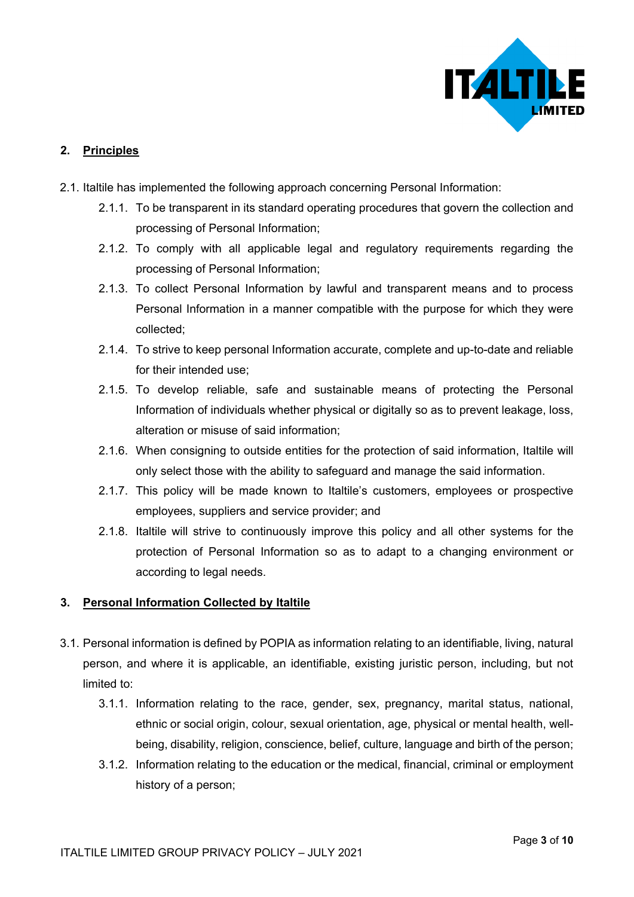

## **2. Principles**

- 2.1. Italtile has implemented the following approach concerning Personal Information:
	- 2.1.1. To be transparent in its standard operating procedures that govern the collection and processing of Personal Information;
	- 2.1.2. To comply with all applicable legal and regulatory requirements regarding the processing of Personal Information;
	- 2.1.3. To collect Personal Information by lawful and transparent means and to process Personal Information in a manner compatible with the purpose for which they were collected;
	- 2.1.4. To strive to keep personal Information accurate, complete and up-to-date and reliable for their intended use;
	- 2.1.5. To develop reliable, safe and sustainable means of protecting the Personal Information of individuals whether physical or digitally so as to prevent leakage, loss, alteration or misuse of said information;
	- 2.1.6. When consigning to outside entities for the protection of said information, Italtile will only select those with the ability to safeguard and manage the said information.
	- 2.1.7. This policy will be made known to Italtile's customers, employees or prospective employees, suppliers and service provider; and
	- 2.1.8. Italtile will strive to continuously improve this policy and all other systems for the protection of Personal Information so as to adapt to a changing environment or according to legal needs.

## **3. Personal Information Collected by Italtile**

- 3.1. Personal information is defined by POPIA as information relating to an identifiable, living, natural person, and where it is applicable, an identifiable, existing juristic person, including, but not limited to:
	- 3.1.1. Information relating to the race, gender, sex, pregnancy, marital status, national, ethnic or social origin, colour, sexual orientation, age, physical or mental health, wellbeing, disability, religion, conscience, belief, culture, language and birth of the person;
	- 3.1.2. Information relating to the education or the medical, financial, criminal or employment history of a person;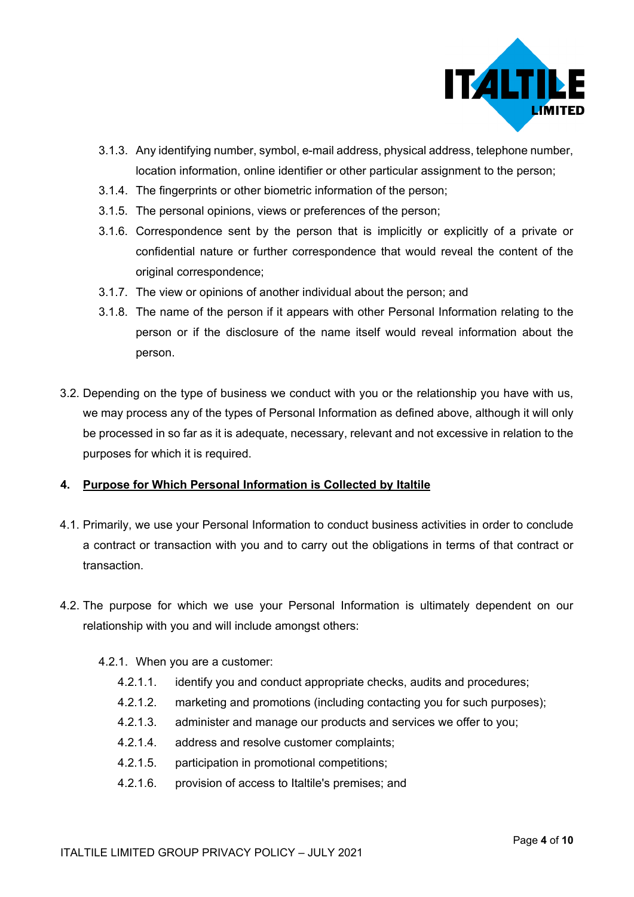

- 3.1.3. Any identifying number, symbol, e-mail address, physical address, telephone number, location information, online identifier or other particular assignment to the person;
- 3.1.4. The fingerprints or other biometric information of the person;
- 3.1.5. The personal opinions, views or preferences of the person;
- 3.1.6. Correspondence sent by the person that is implicitly or explicitly of a private or confidential nature or further correspondence that would reveal the content of the original correspondence;
- 3.1.7. The view or opinions of another individual about the person; and
- 3.1.8. The name of the person if it appears with other Personal Information relating to the person or if the disclosure of the name itself would reveal information about the person.
- 3.2. Depending on the type of business we conduct with you or the relationship you have with us, we may process any of the types of Personal Information as defined above, although it will only be processed in so far as it is adequate, necessary, relevant and not excessive in relation to the purposes for which it is required.

## **4. Purpose for Which Personal Information is Collected by Italtile**

- 4.1. Primarily, we use your Personal Information to conduct business activities in order to conclude a contract or transaction with you and to carry out the obligations in terms of that contract or transaction.
- 4.2. The purpose for which we use your Personal Information is ultimately dependent on our relationship with you and will include amongst others:
	- 4.2.1. When you are a customer:
		- 4.2.1.1. identify you and conduct appropriate checks, audits and procedures;
		- 4.2.1.2. marketing and promotions (including contacting you for such purposes);
		- 4.2.1.3. administer and manage our products and services we offer to you;
		- 4.2.1.4. address and resolve customer complaints;
		- 4.2.1.5. participation in promotional competitions;
		- 4.2.1.6. provision of access to Italtile's premises; and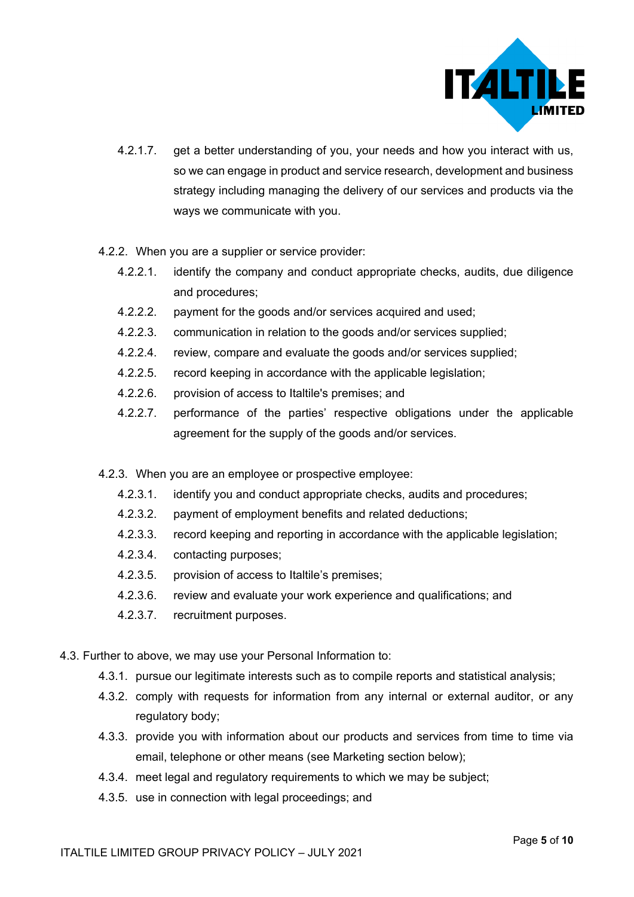

- 4.2.1.7. get a better understanding of you, your needs and how you interact with us, so we can engage in product and service research, development and business strategy including managing the delivery of our services and products via the ways we communicate with you.
- 4.2.2. When you are a supplier or service provider:
	- 4.2.2.1. identify the company and conduct appropriate checks, audits, due diligence and procedures;
	- 4.2.2.2. payment for the goods and/or services acquired and used;
	- 4.2.2.3. communication in relation to the goods and/or services supplied;
	- 4.2.2.4. review, compare and evaluate the goods and/or services supplied;
	- 4.2.2.5. record keeping in accordance with the applicable legislation;
	- 4.2.2.6. provision of access to Italtile's premises; and
	- 4.2.2.7. performance of the parties' respective obligations under the applicable agreement for the supply of the goods and/or services.
- 4.2.3. When you are an employee or prospective employee:
	- 4.2.3.1. identify you and conduct appropriate checks, audits and procedures;
	- 4.2.3.2. payment of employment benefits and related deductions;
	- 4.2.3.3. record keeping and reporting in accordance with the applicable legislation;
	- 4.2.3.4. contacting purposes;
	- 4.2.3.5. provision of access to Italtile's premises;
	- 4.2.3.6. review and evaluate your work experience and qualifications; and
	- 4.2.3.7. recruitment purposes.
- 4.3. Further to above, we may use your Personal Information to:
	- 4.3.1. pursue our legitimate interests such as to compile reports and statistical analysis;
	- 4.3.2. comply with requests for information from any internal or external auditor, or any regulatory body;
	- 4.3.3. provide you with information about our products and services from time to time via email, telephone or other means (see Marketing section below);
	- 4.3.4. meet legal and regulatory requirements to which we may be subject;
	- 4.3.5. use in connection with legal proceedings; and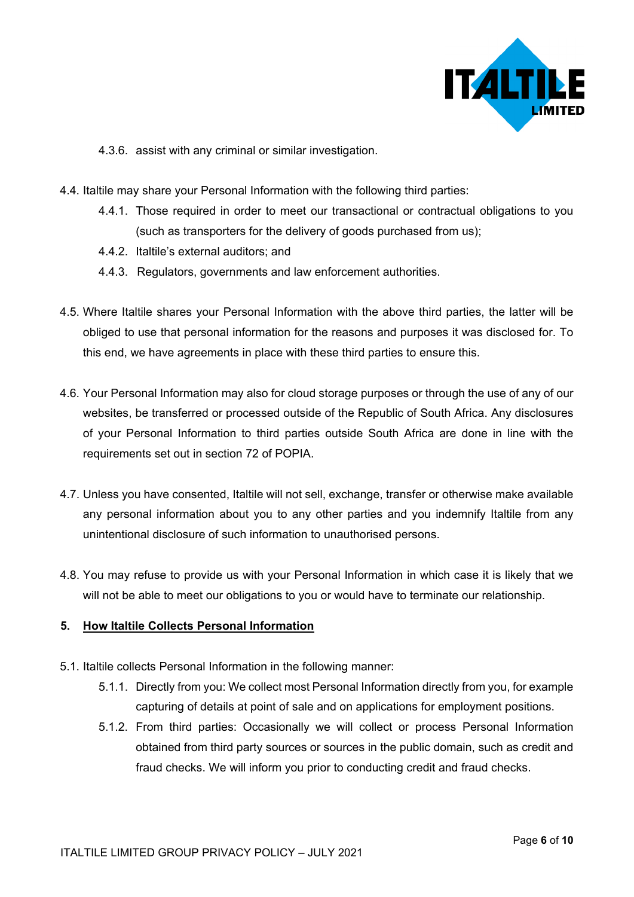

- 4.3.6. assist with any criminal or similar investigation.
- 4.4. Italtile may share your Personal Information with the following third parties:
	- 4.4.1. Those required in order to meet our transactional or contractual obligations to you (such as transporters for the delivery of goods purchased from us);
	- 4.4.2. Italtile's external auditors; and
	- 4.4.3. Regulators, governments and law enforcement authorities.
- 4.5. Where Italtile shares your Personal Information with the above third parties, the latter will be obliged to use that personal information for the reasons and purposes it was disclosed for. To this end, we have agreements in place with these third parties to ensure this.
- 4.6. Your Personal Information may also for cloud storage purposes or through the use of any of our websites, be transferred or processed outside of the Republic of South Africa. Any disclosures of your Personal Information to third parties outside South Africa are done in line with the requirements set out in section 72 of POPIA.
- 4.7. Unless you have consented, Italtile will not sell, exchange, transfer or otherwise make available any personal information about you to any other parties and you indemnify Italtile from any unintentional disclosure of such information to unauthorised persons.
- 4.8. You may refuse to provide us with your Personal Information in which case it is likely that we will not be able to meet our obligations to you or would have to terminate our relationship.

#### **5. How Italtile Collects Personal Information**

- 5.1. Italtile collects Personal Information in the following manner:
	- 5.1.1. Directly from you: We collect most Personal Information directly from you, for example capturing of details at point of sale and on applications for employment positions.
	- 5.1.2. From third parties: Occasionally we will collect or process Personal Information obtained from third party sources or sources in the public domain, such as credit and fraud checks. We will inform you prior to conducting credit and fraud checks.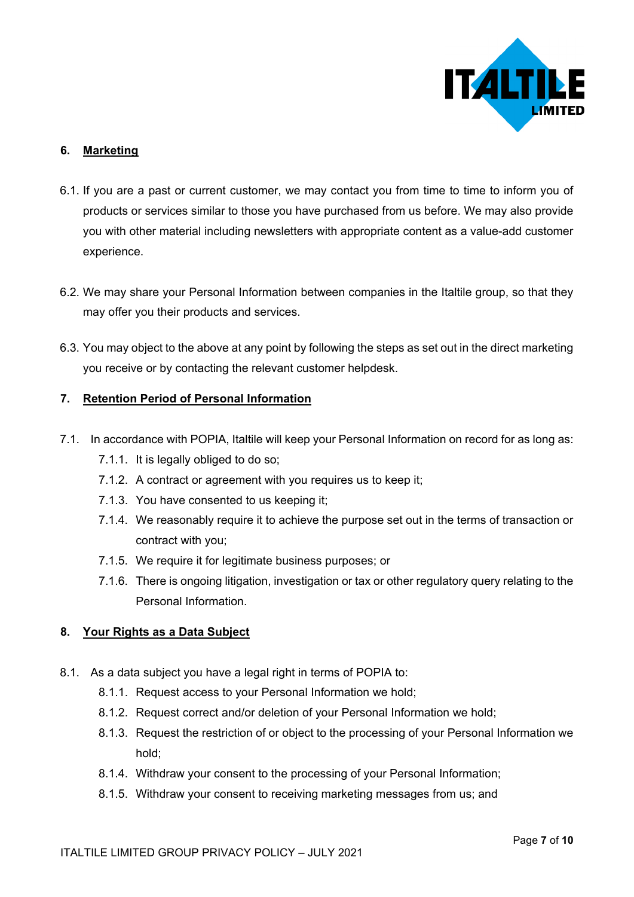

## **6. Marketing**

- 6.1. If you are a past or current customer, we may contact you from time to time to inform you of products or services similar to those you have purchased from us before. We may also provide you with other material including newsletters with appropriate content as a value-add customer experience.
- 6.2. We may share your Personal Information between companies in the Italtile group, so that they may offer you their products and services.
- 6.3. You may object to the above at any point by following the steps as set out in the direct marketing you receive or by contacting the relevant customer helpdesk.

## **7. Retention Period of Personal Information**

- 7.1. In accordance with POPIA, Italtile will keep your Personal Information on record for as long as:
	- 7.1.1. It is legally obliged to do so;
	- 7.1.2. A contract or agreement with you requires us to keep it;
	- 7.1.3. You have consented to us keeping it;
	- 7.1.4. We reasonably require it to achieve the purpose set out in the terms of transaction or contract with you;
	- 7.1.5. We require it for legitimate business purposes; or
	- 7.1.6. There is ongoing litigation, investigation or tax or other regulatory query relating to the Personal Information.

## **8. Your Rights as a Data Subject**

- 8.1. As a data subject you have a legal right in terms of POPIA to:
	- 8.1.1. Request access to your Personal Information we hold;
	- 8.1.2. Request correct and/or deletion of your Personal Information we hold;
	- 8.1.3. Request the restriction of or object to the processing of your Personal Information we hold;
	- 8.1.4. Withdraw your consent to the processing of your Personal Information;
	- 8.1.5. Withdraw your consent to receiving marketing messages from us; and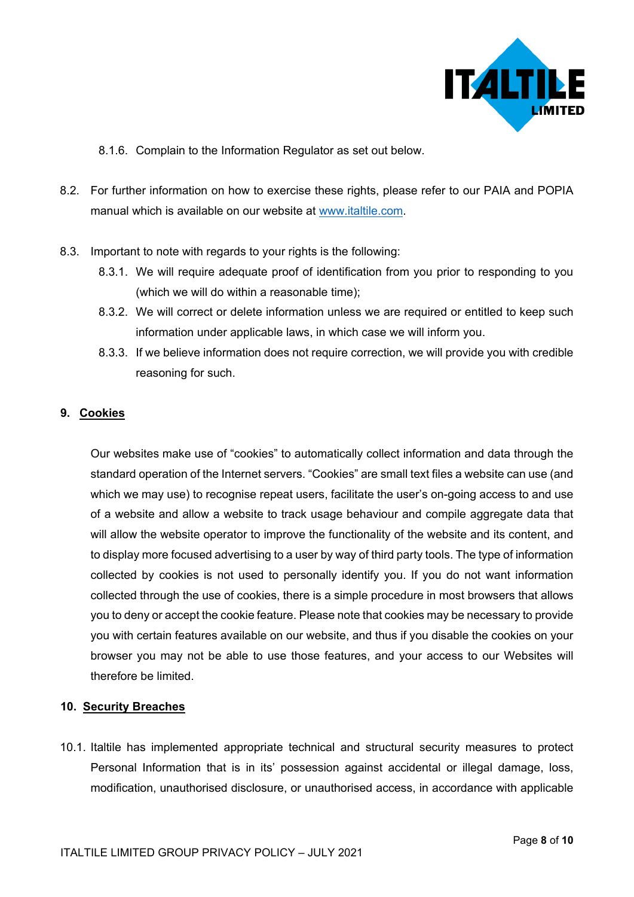

- 8.1.6. Complain to the Information Regulator as set out below.
- 8.2. For further information on how to exercise these rights, please refer to our PAIA and POPIA manual which is available on our website at [www.italtile.com.](http://www.italtile.com/)
- 8.3. Important to note with regards to your rights is the following:
	- 8.3.1. We will require adequate proof of identification from you prior to responding to you (which we will do within a reasonable time);
	- 8.3.2. We will correct or delete information unless we are required or entitled to keep such information under applicable laws, in which case we will inform you.
	- 8.3.3. If we believe information does not require correction, we will provide you with credible reasoning for such.

## **9. Cookies**

Our websites make use of "cookies" to automatically collect information and data through the standard operation of the Internet servers. "Cookies" are small text files a website can use (and which we may use) to recognise repeat users, facilitate the user's on-going access to and use of a website and allow a website to track usage behaviour and compile aggregate data that will allow the website operator to improve the functionality of the website and its content, and to display more focused advertising to a user by way of third party tools. The type of information collected by cookies is not used to personally identify you. If you do not want information collected through the use of cookies, there is a simple procedure in most browsers that allows you to deny or accept the cookie feature. Please note that cookies may be necessary to provide you with certain features available on our website, and thus if you disable the cookies on your browser you may not be able to use those features, and your access to our Websites will therefore be limited.

## **10. Security Breaches**

10.1. Italtile has implemented appropriate technical and structural security measures to protect Personal Information that is in its' possession against accidental or illegal damage, loss, modification, unauthorised disclosure, or unauthorised access, in accordance with applicable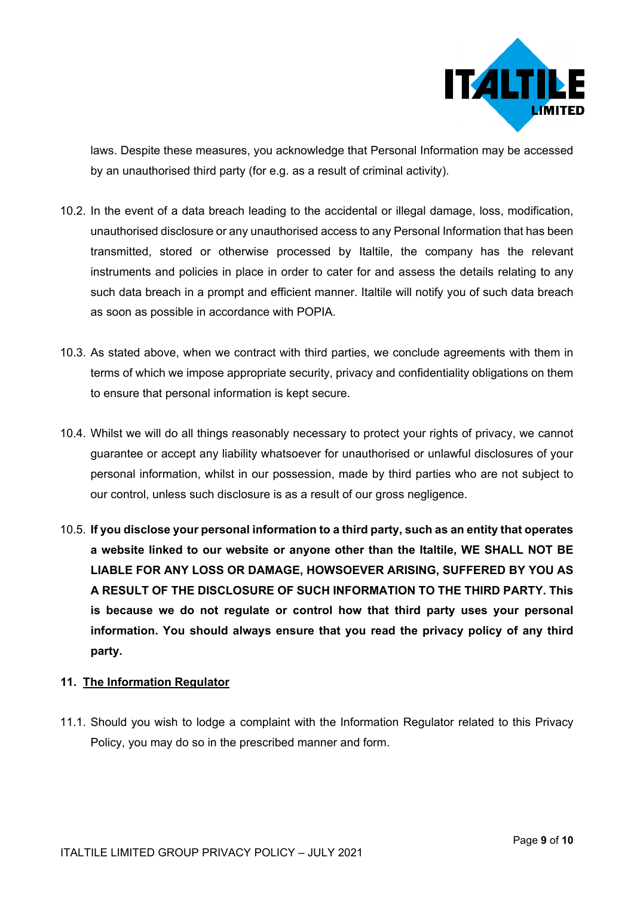

laws. Despite these measures, you acknowledge that Personal Information may be accessed by an unauthorised third party (for e.g. as a result of criminal activity).

- 10.2. In the event of a data breach leading to the accidental or illegal damage, loss, modification, unauthorised disclosure or any unauthorised access to any Personal Information that has been transmitted, stored or otherwise processed by Italtile, the company has the relevant instruments and policies in place in order to cater for and assess the details relating to any such data breach in a prompt and efficient manner. Italtile will notify you of such data breach as soon as possible in accordance with POPIA.
- 10.3. As stated above, when we contract with third parties, we conclude agreements with them in terms of which we impose appropriate security, privacy and confidentiality obligations on them to ensure that personal information is kept secure.
- 10.4. Whilst we will do all things reasonably necessary to protect your rights of privacy, we cannot guarantee or accept any liability whatsoever for unauthorised or unlawful disclosures of your personal information, whilst in our possession, made by third parties who are not subject to our control, unless such disclosure is as a result of our gross negligence.
- 10.5. **If you disclose your personal information to a third party, such as an entity that operates a website linked to our website or anyone other than the Italtile, WE SHALL NOT BE LIABLE FOR ANY LOSS OR DAMAGE, HOWSOEVER ARISING, SUFFERED BY YOU AS A RESULT OF THE DISCLOSURE OF SUCH INFORMATION TO THE THIRD PARTY. This is because we do not regulate or control how that third party uses your personal information. You should always ensure that you read the privacy policy of any third party.**

## **11. The Information Regulator**

11.1. Should you wish to lodge a complaint with the Information Regulator related to this Privacy Policy, you may do so in the prescribed manner and form.